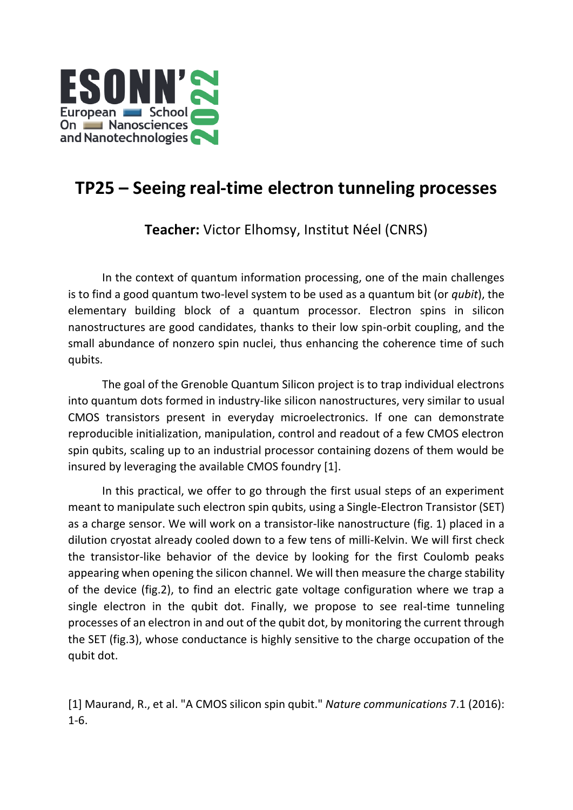

## **TP25 – Seeing real-time electron tunneling processes**

**Teacher:** Victor Elhomsy, Institut Néel (CNRS)

In the context of quantum information processing, one of the main challenges is to find a good quantum two-level system to be used as a quantum bit (or *qubit*), the elementary building block of a quantum processor. Electron spins in silicon nanostructures are good candidates, thanks to their low spin-orbit coupling, and the small abundance of nonzero spin nuclei, thus enhancing the coherence time of such qubits.

The goal of the Grenoble Quantum Silicon project is to trap individual electrons into quantum dots formed in industry-like silicon nanostructures, very similar to usual CMOS transistors present in everyday microelectronics. If one can demonstrate reproducible initialization, manipulation, control and readout of a few CMOS electron spin qubits, scaling up to an industrial processor containing dozens of them would be insured by leveraging the available CMOS foundry [1].

In this practical, we offer to go through the first usual steps of an experiment meant to manipulate such electron spin qubits, using a Single-Electron Transistor (SET) as a charge sensor. We will work on a transistor-like nanostructure (fig. 1) placed in a dilution cryostat already cooled down to a few tens of milli-Kelvin. We will first check the transistor-like behavior of the device by looking for the first Coulomb peaks appearing when opening the silicon channel. We will then measure the charge stability of the device (fig.2), to find an electric gate voltage configuration where we trap a single electron in the qubit dot. Finally, we propose to see real-time tunneling processes of an electron in and out of the qubit dot, by monitoring the current through the SET (fig.3), whose conductance is highly sensitive to the charge occupation of the qubit dot.

[1] Maurand, R., et al. "A CMOS silicon spin qubit." *Nature communications* 7.1 (2016): 1-6.